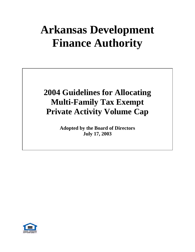# **Arkansas Development Finance Authority**

# **2004 Guidelines for Allocating Multi-Family Tax Exempt Private Activity Volume Cap**

**Adopted by the Board of Directors July 17, 2003**

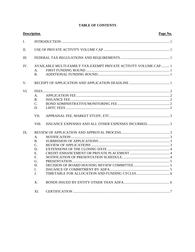| <b>Description</b><br>Page No. |                                                                       |                                                                  |  |  |
|--------------------------------|-----------------------------------------------------------------------|------------------------------------------------------------------|--|--|
| I.                             |                                                                       |                                                                  |  |  |
| Π.                             |                                                                       |                                                                  |  |  |
| III.                           |                                                                       |                                                                  |  |  |
| IV.                            | A.<br><b>B.</b>                                                       | AVAILABLE MULTI-FAMILY TAX-EXEMPT PRIVATE ACTIVITY VOLUME CAP  1 |  |  |
| V.                             |                                                                       |                                                                  |  |  |
| VI.                            | A <sub>1</sub><br><b>B.</b><br>C.<br>D.                               |                                                                  |  |  |
|                                | VII.<br>VIII.                                                         |                                                                  |  |  |
| IX.                            | А.<br><b>B.</b><br>C.<br>D.<br>Е.<br>F.<br>G.<br>H.<br>I.<br>J.<br>Χ. |                                                                  |  |  |
|                                | XI.                                                                   |                                                                  |  |  |

# **TABLE OF CONTENTS**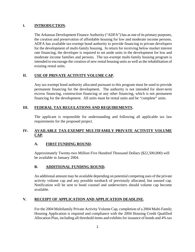# **I. INTRODUCTION.**

The Arkansas Development Finance Authority ("ADFA") has as one of its primary purposes, the creation and preservation of affordable housing for low and moderate income persons. ADFA has available tax-exempt bond authority to provide financing to private developers for the development of multi-family housing. In return for receiving below market interest rate financing, the developer is required to set aside units in the development for low and moderate income families and persons. The tax-exempt multi-family housing program is intended to encourage the creation of new rental housing units as well as the rehabilitation of existing rental units.

# **II. USE OF PRIVATE ACTIVITY VOLUME CAP.**

Any tax-exempt bond authority allocated pursuant to this program must be used to provide permanent financing for the development. The authority is not intended for short-term escrow financing, construction financing or any other financing, which is not permanent financing for the development. All units must be rental units and be "complete" units.

# **III. FEDERAL TAX REGULATIONS AND REQUIREMENTS.**

The applicant is responsible for understanding and following all applicable tax law requirements for the proposed project.

# **IV. AVAILABLE TAX-EXEMPT MULTIFAMILY PRIVATE ACTIVITY VOLUME CAP.**

# **A. FIRST FUNDING ROUND.**

Approximately Twenty-two Million Five Hundred Thousand Dollars (\$22,500,000) will be available in January 2004.

# **B. ADDITIONAL FUNDING ROUND.**

An additional amount may be available depending on potential competing uses of the private activity volume cap and any possible turnback of previously allocated, but unused cap. Notification will be sent to bond counsel and underwriters should volume cap become available.

# **V. RECEIPT OF APPLICATION AND APPLICATION DEADLINE.**

For the 2004 Multifamily Private Activity Volume Cap, completion of a 2004 Multi-Family Housing Application is required and compliance with the 2004 Housing Credit Qualified Allocation Plan, including all threshold items and exhibits for issuance of bonds and 4% tax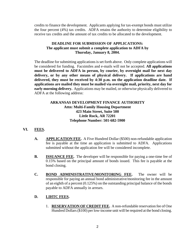credits to finance the development. Applicants applying for tax-exempt bonds must utilize the four percent (4%) tax credits. ADFA retains the authority to determine eligibility to receive tax credits and the amount of tax credits to be allocated to the development.

#### **DEADLINE FOR SUBMISSION OF APPLICATIONS: The applicant must submit a complete application to ADFA by Thursday, January 8, 2004.**

The deadline for submitting applications is set forth above. Only complete applications will be considered for funding. Facsimiles and e-mails will not be accepted. **All applications must be delivered to ADFA in person, by courier, by overnight mail for next day delivery, or by any other means of physical delivery. If applications are hand delivered, they must be received by 4:30 p.m. on the application deadline date. If applications are mailed they must be mailed via overnight mail, priority, next day for early morning delivery.** Applications may be mailed, or otherwise physically delivered to ADFA at the following address:

#### **ARKANSAS DEVELOPMENT FINANCE AUTHORITY Attn: Multi-Family Housing Department 423 Main Street, Suite 500 Little Rock, AR 72201 Telephone Number: 501-682-5900**

#### **VI. FEES.**

- **A. APPLICATION FEE.** A Five Hundred Dollar (\$500) non-refundable application fee is payable at the time an application is submitted to ADFA. Applications submitted without the application fee will be considered incomplete.
- **B. ISSUANCE FEE.** The developer will be responsible for paying a one-time fee of 0.15% based on the principal amount of bonds issued. This fee is payable at the bond closing.
- **C. BOND ADMINISTRATIVE/MONITORING FEE.** The owner will be responsible for paying an annual bond administrative/monitoring fee in the amount of an eighth of a percent (0.125%) on the outstanding principal balance of the bonds payable to ADFA annually in arrears.

#### **D. LIHTC FEES.**

1. **RESERVATION OF CREDIT FEE.** A non-refundable reservation fee of One Hundred Dollars (\$100) per low-income unit will be required at the bond closing.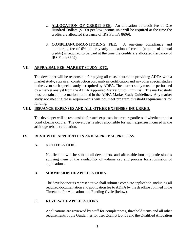- 2. **ALLOCATION OF CREDIT FEE.** An allocation of credit fee of One Hundred Dollars (\$100) per low-income unit will be required at the time the credits are allocated (issuance of IRS Form/s 8609).
- 3. **COMPLIANCE/MONITORING FEE.** A one-time compliance and monitoring fee of 6% of the yearly allocation of credits (amount of annual credits) is required to be paid at the time the credits are allocated (issuance of IRS Form 8609).

#### **VII. APPRAISAL FEE, MARKET STUDY, ETC.**

The developer will be responsible for paying all costs incurred in providing ADFA with a market study, appraisal, construction cost analysis certification and any other special studies in the event such special study is required by ADFA. The market study must be performed by a market analyst from the ADFA Approved Market Study Firm List. The market study must contain all information outlined in the ADFA Market Study Guidelines. Any market study not meeting these requirements will not meet program threshold requirements for funding.

#### **VIII. ISSUANCE EXPENSES AND ALL OTHER EXPENSES INCURRED.**

The developer will be responsible for such expenses incurred regardless of whether or not a bond closing occurs. The developer is also responsible for such expenses incurred in the arbitrage rebate calculation.

#### **IX. REVIEW OF APPLICATION AND APPROVAL PROCESS.**

#### **A. NOTIFICATION.**

Notification will be sent to all developers, and affordable housing professionals advising them of the availability of volume cap and process for submission of applications.

#### **B. SUBMISSION OF APPLICATIONS.**

The developer or its representative shall submit a complete application, including all required documentation and application fee to ADFA by the deadline outlined in the Timetable for Allocation and Funding Cycle (below).

#### **C. REVIEW OF APPLICATIONS.**

Applications are reviewed by staff for completeness, threshold items and all other requirements of the Guidelines for Tax Exempt Bonds and the Qualified Allocation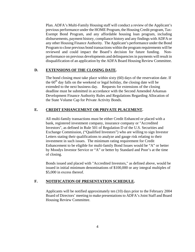Plan. ADFA's Multi-Family Housing staff will conduct a review of the Applicant's previous performance under the HOME Program, the Housing Credit program, Tax-Exempt Bond Program, and any affordable housing loan program, including disbursements, payment history, compliance history and any findings with ADFA or any other Housing Finance Authority. The Applicant's performance under the Bond Program to close previous bond transactions within the program requirements will be reviewed and could impact the Board's decision for future funding. Nonperformance on previous developments and delinquencies in payments will result in disqualification of an application by the ADFA Board Housing Review Committee.

# **D. EXTENSIONS OF THE CLOSING DATE.**

The bond closing must take place within sixty (60) days of the reservation date. If the  $60<sup>th</sup>$  day falls on the weekend or legal holiday, the closing date will be extended to the next business day. Requests for extensions of the closing deadline must be submitted in accordance with the Second Amended Arkansas Development Finance Authority Rules and Regulations Regarding Allocation of the State Volume Cap for Private Activity Bonds.

#### **E. CREDIT ENHANCEMENT OR PRIVATE PLACEMENT.**

All multi-family transactions must be either Credit Enhanced or placed with a bank, registered investment company, insurance company or "Accredited Investors", as defined in Rule 501 of Regulation D of the U.S. Securities and Exchange Commission, ("Qualified Investors") who are willing to sign Investor Letters stating their qualifications to analyze and gauge risk relating to their investment in such issues. The minimum rating requirement for Credit Enhancement to be eligible for multi-family Bond Issues would be "A" or better by Moodys Investor Service or "A" or better by Standard and Poor's at the time of closing.

Bonds issued and placed with "Accredited Investors," as defined above, would be issued in initial minimum denominations of \$100,000 or any integral multiples of \$5,000 in excess thereof.

# **F. NOTIFICATION OF PRESENTATION SCHEDULE.**

Applicants will be notified approximately ten (10) days prior to the February 2004 Board of Directors' meeting to make presentations to ADFA's Joint Staff and Board Housing Review Committee.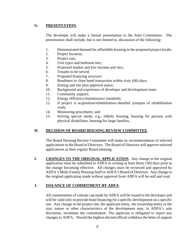## **G. PRESENTATION.**

The developer will make a formal presentation to the Joint Committees. The presentation shall include, but is not limited to, discussion of the following:

- 1. Demonstrated demand for affordable housing in the proposed project locale;
- 2. Project location;
- 3. Project size;
- 4. Unit types and bedroom mix;
- 5. Projected market and low-income unit mix;
- 6. Tenants to be served;
- 7. Proposed financing structure;
- 8. Readiness to close bond transaction within sixty (60) days;
- 9. Zoning and site plan approval status;
- 10. Background and experience of developer and development team;
- 11. Community support;
- 12. Energy efficiency/maintenance standards;
- 12. If project is acquisition/rehabilitation–detailed synopsis of rehabilitation work;
- 14. Monitoring procedures; and
- 15. Serving special needs, e.g., elderly housing, housing for persons with physical disabilities; housing for large families.

# **H. DECISION OF BOARD HOUSING REVIEW COMMITTEE.**

The Board Housing Review Committee will make its recommendation of selected applications to the Board of Directors. The Board of Directors will approve selected applications at their regular Board meeting.

 **I. CHANGES TO THE ORIGINAL APPLICATION.** Any change to the original application must be submitted to ADFA in writing at least thirty (30) days prior to the change becoming effective. All changes must be reviewed and approved by ADFA's Multi-Family Housing Staff or ADFA's Board of Directors. Any change to the original application made without approval from ADFA will be null and void.

# **J. ISSUANCE OF COMMITMENT BY ADFA.**

All commitments of volume cap made by ADFA will be issued to the developer and will be valid only to provide bond financing for a specific development on a specific site. Any change in the project site, the applicant entity, the ownership entity or the size, nature or other characteristics of the development may, in ADFA's sole discretion, invalidate the commitment. The applicant is obligated to report any changes to ADFA. Should the highest elected official withdraw the letter of support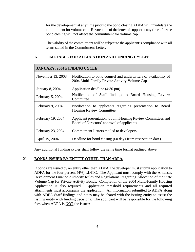for the development at any time prior to the bond closing ADFA will invalidate the commitment for volume cap. Revocation of the letter of support at any time after the bond closing will not affect the commitment for volume cap.

The validity of the commitment will be subject to the applicant's compliance with all terms stated in the Commitment Letter.

#### **K. TIMETABLE FOR ALLOCATION AND FUNDING CYCLES.**

| <b>JANUARY, 2004 FUNDING CYCLE</b> |                                                                                                                   |  |  |  |
|------------------------------------|-------------------------------------------------------------------------------------------------------------------|--|--|--|
| November 13, 2003                  | Notification to bond counsel and underwriters of availability of<br>2004 Multi-Family Private Activity Volume Cap |  |  |  |
| January 8, 2004                    | Application deadline (4:30 pm)                                                                                    |  |  |  |
| February 5, 2004                   | Notification of Staff findings to Board Housing Review<br>Committee                                               |  |  |  |
| February 9, 2004                   | Notification to applicants regarding presentation to Board<br>Housing Review Committee.                           |  |  |  |
| February 19, 2004                  | Applicant presentation to Joint Housing Review Committees and<br>Board of Directors' approval of applicants       |  |  |  |
| February 23, 2004                  | Commitment Letters mailed to developers                                                                           |  |  |  |
| April 19, 2004                     | Deadline for bond closing (60 days from reservation date)                                                         |  |  |  |

Any additional funding cycles shall follow the same time format outlined above.

#### **X. BONDS ISSUED BY ENTITY OTHER THAN ADFA.**

If bonds are issued by an entity other than ADFA, the developer must submit application to ADFA for the four percent (4%) LIHTC. The Applicant must comply with the Arkansas Development Finance Authority Rules and Regulations Regarding Allocation of the State Volume Cap for Private Activity Bonds. Completion of the 2004 Multi-Family Housing Application is also required. Application threshold requirements and all required attachments must accompany the application. All information submitted to ADFA along with ADFA Staff findings and notes may be shared with the issuing entity to assist the issuing entity with funding decisions. The applicant will be responsible for the following fees when ADFA is NOT the issuer: